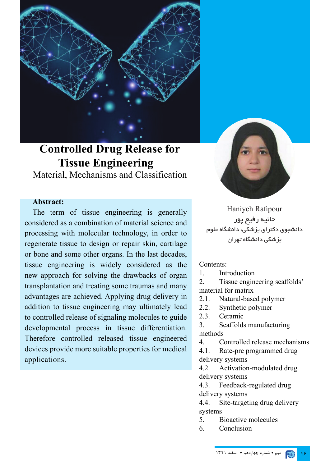

# **Controlled Drug Release for Tissue Engineering**

Material, Mechanisms and Classification

#### **Abstract:**

The term of tissue engineering is generally considered as a combination of material science and processing with molecular technology, in order to regenerate tissue to design or repair skin, cartilage or bone and some other organs. In the last decades, tissue engineering is widely considered as the new approach for solving the drawbacks of organ transplantation and treating some traumas and many advantages are achieved. Applying drug delivery in addition to tissue engineering may ultimately lead to controlled release of signaling molecules to guide developmental process in tissue differentiation. Therefore controlled released tissue engineered devices provide more suitable properties for medical applications.



Haniyeh Rafipour حانیه رفیع پور دانشجوی دکترای پزشکی، دانشگاه علوم پزشکی دانشگاه تهران

#### Contents:

1. Introduction

2. Tissue engineering scaffolds' material for matrix

- 2.1. Natural-based polymer
- 2.2. Synthetic polymer
- 2.3. Ceramic

3. Scaffolds manufacturing methods

4. Controlled release mechanisms

4.1. Rate-pre programmed drug delivery systems

4.2. Activation-modulated drug delivery systems

4.3. Feedback-regulated drug delivery systems

4.4. Site-targeting drug delivery systems

- 5. Bioactive molecules
- 6. Conclusion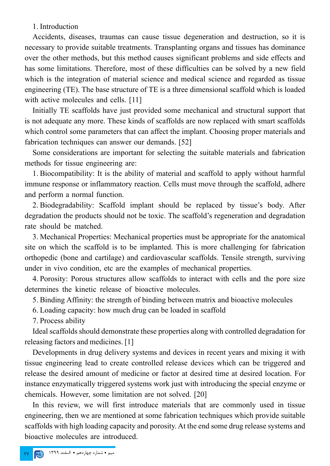1. Introduction

Accidents, diseases, traumas can cause tissue degeneration and destruction, so it is necessary to provide suitable treatments. Transplanting organs and tissues has dominance over the other methods, but this method causes significant problems and side effects and has some limitations. Therefore, most of these difficulties can be solved by a new field which is the integration of material science and medical science and regarded as tissue engineering (TE). The base structure of TE is a three dimensional scaffold which is loaded with active molecules and cells. [11]

Initially TE scaffolds have just provided some mechanical and structural support that is not adequate any more. These kinds of scaffolds are now replaced with smart scaffolds which control some parameters that can affect the implant. Choosing proper materials and fabrication techniques can answer our demands. [52]

Some considerations are important for selecting the suitable materials and fabrication methods for tissue engineering are:

1. Biocompatibility: It is the ability of material and scaffold to apply without harmful immune response or inflammatory reaction. Cells must move through the scaffold, adhere and perform a normal function.

2. Biodegradability: Scaffold implant should be replaced by tissue's body. After degradation the products should not be toxic. The scaffold's regeneration and degradation rate should be matched.

3. Mechanical Properties: Mechanical properties must be appropriate for the anatomical site on which the scaffold is to be implanted. This is more challenging for fabrication orthopedic (bone and cartilage) and cardiovascular scaffolds. Tensile strength, surviving under in vivo condition, etc are the examples of mechanical properties.

4. Porosity: Porous structures allow scaffolds to interact with cells and the pore size determines the kinetic release of bioactive molecules.

5. Binding Affinity: the strength of binding between matrix and bioactive molecules

6. Loading capacity: how much drug can be loaded in scaffold

7. Process ability

Ideal scaffolds should demonstrate these properties along with controlled degradation for releasing factors and medicines. [1]

Developments in drug delivery systems and devices in recent years and mixing it with tissue engineering lead to create controlled release devices which can be triggered and release the desired amount of medicine or factor at desired time at desired location. For instance enzymatically triggered systems work just with introducing the special enzyme or chemicals. However, some limitation are not solved. [20]

In this review, we will first introduce materials that are commonly used in tissue engineering, then we are mentioned at some fabrication techniques which provide suitable scaffolds with high loading capacity and porosity. At the end some drug release systems and bioactive molecules are introduced.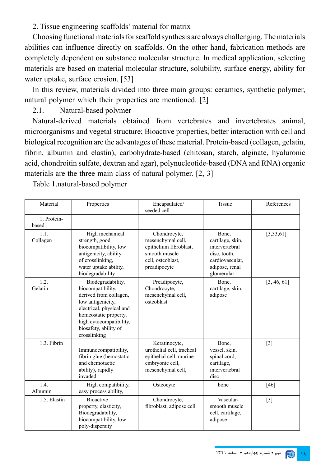2. Tissue engineering scaffolds' material for matrix

Choosing functional materials for scaffold synthesis are always challenging. The materials abilities can influence directly on scaffolds. On the other hand, fabrication methods are completely dependent on substance molecular structure. In medical application, selecting materials are based on material molecular structure, solubility, surface energy, ability for water uptake, surface erosion. [53]

In this review, materials divided into three main groups: ceramics, synthetic polymer, natural polymer which their properties are mentioned. [2]

2.1. Natural-based polymer

Natural-derived materials obtained from vertebrates and invertebrates animal, microorganisms and vegetal structure; Bioactive properties, better interaction with cell and biological recognition are the advantages of these material. Protein-based (collagen, gelatin, fibrin, albumin and elastin), carbohydrate-based (chitosan, starch, alginate, hyaluronic acid, chondroitin sulfate, dextran and agar), polynucleotide-based (DNA and RNA) organic materials are the three main class of natural polymer. [2, 3]

Table 1.natural-based polymer

| Material             | Properties                                                                                                                                                                                                     | Encapsulated/<br>seeded cell                                                                                      | Tissue                                                                                                         | References  |
|----------------------|----------------------------------------------------------------------------------------------------------------------------------------------------------------------------------------------------------------|-------------------------------------------------------------------------------------------------------------------|----------------------------------------------------------------------------------------------------------------|-------------|
| 1. Protein-<br>based |                                                                                                                                                                                                                |                                                                                                                   |                                                                                                                |             |
| 1.1.<br>Collagen     | High mechanical<br>strength, good<br>biocompatibility, low<br>antigenicity, ability<br>of crosslinking,<br>water uptake ability,<br>biodegradability                                                           | Chondrocyte,<br>mesenchymal cell,<br>epithelium fibroblast,<br>smooth muscle<br>cell, osteoblast,<br>preadipocyte | Bone,<br>cartilage, skin,<br>intervertebral<br>disc, tooth,<br>cardiovascular,<br>adipose, renal<br>glomerular | [3, 33, 61] |
| 1.2.<br>Gelatin      | Biodegradability,<br>biocompatibility,<br>derived from collagen,<br>low antigenicity,<br>electrical, physical and<br>homeostatic property,<br>high cytocompatibility,<br>biosafety, ability of<br>crosslinking | Preadipocyte,<br>Chondrocyte,<br>mesenchymal cell,<br>osteoblast                                                  | Bone,<br>cartilage, skin,<br>adipose                                                                           | [3, 46, 61] |
| 1.3. Fibrin          | Immunocompatibility,<br>fibrin glue (hemostatic<br>and chemotactic<br>ability), rapidly<br>invaded                                                                                                             | Keratinocyte,<br>urothelial cell, tracheal<br>epithelial cell, murine<br>embryonic cell,<br>mesenchymal cell,     | Bone,<br>vessel, skin,<br>spinal cord,<br>cartilage,<br>intervertebral<br>disc                                 | $[3]$       |
| 1.4.<br>Albumin      | High compatibility,<br>easy process ability,                                                                                                                                                                   | Osteocyte                                                                                                         | bone                                                                                                           | $[46]$      |
| 1.5. Elastin         | <b>Bioactive</b><br>property, elasticity,<br>Biodegradability,<br>biocompatibility, low<br>poly-dispersity                                                                                                     | Chondrocyte,<br>fibroblast, adipose cell                                                                          | Vascular-<br>smooth muscle<br>cell, cartilage,<br>adipose                                                      | $[3]$       |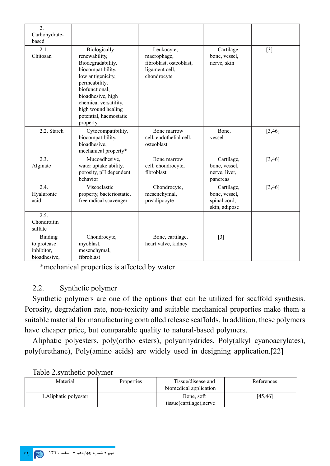| $\overline{2}$ .<br>Carbohydrate-<br>based                  |                                                                                                                                                                                                                                           |                                                                                       |                                                              |         |
|-------------------------------------------------------------|-------------------------------------------------------------------------------------------------------------------------------------------------------------------------------------------------------------------------------------------|---------------------------------------------------------------------------------------|--------------------------------------------------------------|---------|
| 2.1.<br>Chitosan                                            | Biologically<br>renewability,<br>Biodegradability,<br>biocompatibility,<br>low antigenicity,<br>permeability,<br>biofunctional,<br>bioadhesive, high<br>chemical versatility,<br>high wound healing<br>potential, haemostatic<br>property | Leukocyte,<br>macrophage,<br>fibroblast, osteoblast,<br>ligament cell,<br>chondrocyte | Cartilage,<br>bone, vessel,<br>nerve, skin                   | $[3]$   |
| 2.2. Starch                                                 | Cytocompatibility,<br>biocompatibility,<br>bioadhesive,<br>mechanical property*                                                                                                                                                           | Bone marrow<br>cell, endothelial cell,<br>osteoblast                                  | Bone,<br>vessel                                              | [3, 46] |
| 2.3.<br>Alginate                                            | Mucoadhesive,<br>water uptake ability,<br>porosity, pH dependent<br>behavior                                                                                                                                                              | Bone marrow<br>cell, chondrocyte,<br>fibroblast                                       | Cartilage,<br>bone, vessel,<br>nerve, liver,<br>pancreas     | [3, 46] |
| 2.4.<br>Hyaluronic<br>acid                                  | Viscoelastic<br>property, bacteriostatic,<br>free radical scavenger                                                                                                                                                                       | Chondrocyte,<br>mesenchymal,<br>preadipocyte                                          | Cartilage,<br>bone, vessel,<br>spinal cord,<br>skin, adipose | [3, 46] |
| 2.5.<br>Chondroitin<br>sulfate                              |                                                                                                                                                                                                                                           |                                                                                       |                                                              |         |
| <b>Binding</b><br>to protease<br>inhibitor,<br>bioadhesive, | Chondrocyte,<br>myoblast,<br>mesenchymal,<br>fibroblast                                                                                                                                                                                   | Bone, cartilage,<br>heart valve, kidney                                               | $[3]$                                                        |         |

\*mechanical properties is affected by water

#### 2.2. Synthetic polymer

Synthetic polymers are one of the options that can be utilized for scaffold synthesis. Porosity, degradation rate, non-toxicity and suitable mechanical properties make them a suitable material for manufacturing controlled release scaffolds. In addition, these polymers have cheaper price, but comparable quality to natural-based polymers.

Aliphatic polyesters, poly(ortho esters), polyanhydrides, Poly(alkyl cyanoacrylates), poly(urethane), Poly(amino acids) are widely used in designing application.[22]

| Material               | <b>Properties</b> | Tissue/disease and<br>biomedical application | References |
|------------------------|-------------------|----------------------------------------------|------------|
| 1. Aliphatic polyester |                   | Bone, soft<br>tissue(cartilage), nerve       | [45,46]    |

#### Table 2.synthetic polymer

## 29 میم • شماره چهاردهم • اسفند 1399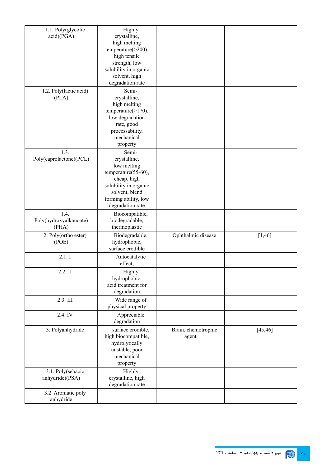| 1.1. Poly(glycolic      | Highly                |                     |          |
|-------------------------|-----------------------|---------------------|----------|
| acid)(PGA)              | crystalline,          |                     |          |
|                         | high melting          |                     |          |
|                         | temperature(>200),    |                     |          |
|                         | high tensile          |                     |          |
|                         | strength, low         |                     |          |
|                         | solubility in organic |                     |          |
|                         | solvent, high         |                     |          |
|                         | degradation rate      |                     |          |
|                         |                       |                     |          |
| 1.2. Poly(lactic acid)  | Semi-                 |                     |          |
| (PLA)                   | crystalline,          |                     |          |
|                         | high melting          |                     |          |
|                         | temperature(>170),    |                     |          |
|                         | low degradation       |                     |          |
|                         | rate, good            |                     |          |
|                         | processability,       |                     |          |
|                         | mechanical            |                     |          |
|                         | property              |                     |          |
| 1.3.                    | Semi-                 |                     |          |
| Poly(caprolactone)(PCL) | crystalline,          |                     |          |
|                         | low melting           |                     |          |
|                         | temperature(55-60),   |                     |          |
|                         | cheap, high           |                     |          |
|                         | solubility in organic |                     |          |
|                         |                       |                     |          |
|                         | solvent, blend        |                     |          |
|                         | forming ability, low  |                     |          |
|                         | degradation rate      |                     |          |
| 1.4.                    | Biocompatible,        |                     |          |
| Poly(hydroxyalkanoate)  | biodegradable,        |                     |          |
| (PHA)                   | thermoplastic         |                     |          |
| 2. Poly(ortho ester)    | Biodegradable,        | Ophthalmic disease  | [1, 46]  |
| (POE)                   | hydrophobic,          |                     |          |
|                         | surface erodible      |                     |          |
| 2.1.1                   | Autocatalytic         |                     |          |
|                         | effect,               |                     |          |
|                         |                       |                     |          |
| 2.2. II                 | Highly                |                     |          |
|                         | hydrophobic,          |                     |          |
|                         | acid treatment for    |                     |          |
|                         | degradation           |                     |          |
| 2.3. III                | Wide range of         |                     |          |
|                         | physical property     |                     |          |
| 2.4. IV                 | Appreciable           |                     |          |
|                         | degradation           |                     |          |
| 3. Polyanhydride        | surface erodible,     |                     |          |
|                         |                       | Brain, chemotrophic | [45, 46] |
|                         | high biocompatible,   | agent               |          |
|                         | hydrolytically        |                     |          |
|                         | unstable, poor        |                     |          |
|                         | mechanical            |                     |          |
|                         | property              |                     |          |
| 3.1. Poly(sebacic       | Highly                |                     |          |
| anhydride)(PSA)         | crystalline, high     |                     |          |
|                         | degradation rate      |                     |          |
| 3.2. Aromatic poly      |                       |                     |          |
| anhydride               |                       |                     |          |
|                         |                       |                     |          |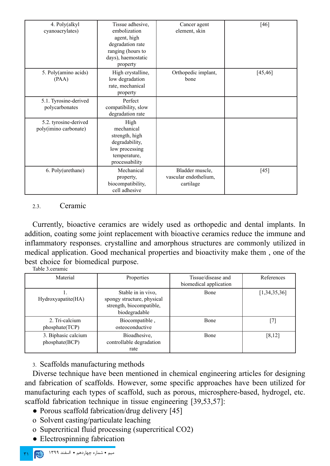| 4. Poly(alkyl         | Tissue adhesive,    | Cancer agent          | $[46]$   |
|-----------------------|---------------------|-----------------------|----------|
| cyanoacrylates)       | embolization        | element, skin         |          |
|                       | agent, high         |                       |          |
|                       | degradation rate    |                       |          |
|                       | ranging (hours to   |                       |          |
|                       | days), haemostatic  |                       |          |
|                       | property            |                       |          |
| 5. Poly(amino acids)  | High crystalline,   | Orthopedic implant,   | [45, 46] |
| (PAA)                 | low degradation     | bone                  |          |
|                       | rate, mechanical    |                       |          |
|                       | property            |                       |          |
| 5.1. Tyrosine-derived | Perfect             |                       |          |
| polycarbonates        | compatibility, slow |                       |          |
|                       | degradation rate    |                       |          |
| 5.2. tyrosine-derived | High                |                       |          |
| poly(imino carbonate) | mechanical          |                       |          |
|                       | strength, high      |                       |          |
|                       | degradability,      |                       |          |
|                       | low processing      |                       |          |
|                       | temperature,        |                       |          |
|                       | processability      |                       |          |
| 6. Poly(urethane)     | Mechanical          | Bladder muscle,       | [45]     |
|                       | property,           | vascular endothelium, |          |
|                       | biocompatibility,   | cartilage             |          |
|                       | cell adhesive       |                       |          |

#### 2.3. Ceramic

Currently, bioactive ceramics are widely used as orthopedic and dental implants. In addition, coating some joint replacement with bioactive ceramics reduce the immune and inflammatory responses. crystalline and amorphous structures are commonly utilized in medical application. Good mechanical properties and bioactivity make them , one of the best choice for biomedical purpose.

Table 3.ceramic

| Material                              | Properties                                                                                    | Tissue/disease and<br>biomedical application | References   |
|---------------------------------------|-----------------------------------------------------------------------------------------------|----------------------------------------------|--------------|
| Hydroxyapatite(HA)                    | Stable in in vivo,<br>spongy structure, physical<br>strength, biocompatible,<br>biodegradable | Bone                                         | [1,34,35,36] |
| 2. Tri-calcium<br>phosphate(TCP)      | Biocompatible,<br>osteoconductive                                                             | <b>B</b> one                                 | [7]          |
| 3. Biphasic calcium<br>phosphate(BCP) | Bioadhesive,<br>controllable degradation<br>rate                                              | <b>B</b> one                                 | [8, 12]      |

3. Scaffolds manufacturing methods

Diverse technique have been mentioned in chemical engineering articles for designing and fabrication of scaffolds. However, some specific approaches have been utilized for manufacturing each types of scaffold, such as porous, microsphere-based, hydrogel, etc. scaffold fabrication technique in tissue engineering [39,53,57]:

- Porous scaffold fabrication/drug delivery [45]
- o Solvent casting/particulate leaching
- o Supercritical fluid processing (supercritical CO2)
- Electrospinning fabrication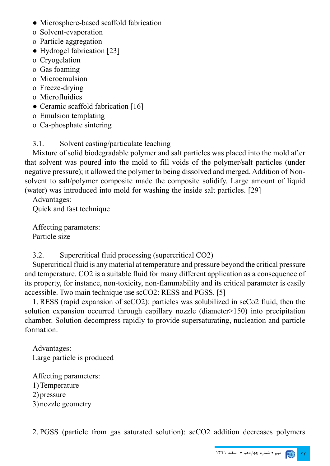- Microsphere-based scaffold fabrication
- o Solvent-evaporation
- o Particle aggregation
- Hydrogel fabrication [23]
- o Cryogelation
- o Gas foaming
- o Microemulsion
- o Freeze-drying
- o Microfluidics
- Ceramic scaffold fabrication [16]
- o Emulsion templating
- o Ca-phosphate sintering

## 3.1. Solvent casting/particulate leaching

Mixture of solid biodegradable polymer and salt particles was placed into the mold after that solvent was poured into the mold to fill voids of the polymer/salt particles (under negative pressure); it allowed the polymer to being dissolved and merged. Addition of Nonsolvent to salt/polymer composite made the composite solidify. Large amount of liquid (water) was introduced into mold for washing the inside salt particles. [29]

Advantages: Quick and fast technique

Affecting parameters: Particle size

3.2. Supercritical fluid processing (supercritical CO2)

Supercritical fluid is any material at temperature and pressure beyond the critical pressure and temperature. CO2 is a suitable fluid for many different application as a consequence of its property, for instance, non-toxicity, non-flammability and its critical parameter is easily accessible. Two main technique use scCO2: RESS and PGSS. [5]

1. RESS (rapid expansion of scCO2): particles was solubilized in scCo2 fluid, then the solution expansion occurred through capillary nozzle (diameter>150) into precipitation chamber. Solution decompress rapidly to provide supersaturating, nucleation and particle formation.

Advantages: Large particle is produced

Affecting parameters: 1)Temperature 2)pressure 3)nozzle geometry

2. PGSS (particle from gas saturated solution): scCO2 addition decreases polymers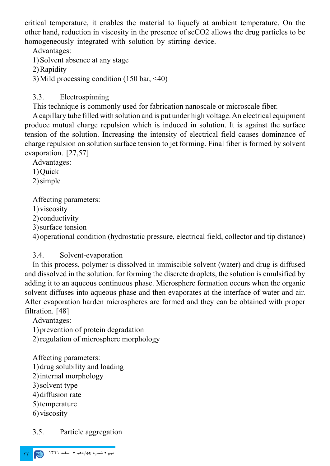critical temperature, it enables the material to liquefy at ambient temperature. On the other hand, reduction in viscosity in the presence of scCO2 allows the drug particles to be homogeneously integrated with solution by stirring device.

Advantages:

1)Solvent absence at any stage

2)Rapidity

3)Mild processing condition (150 bar, <40)

#### 3.3. Electrospinning

This technique is commonly used for fabrication nanoscale or microscale fiber.

A capillary tube filled with solution and is put under high voltage. An electrical equipment produce mutual charge repulsion which is induced in solution. It is against the surface tension of the solution. Increasing the intensity of electrical field causes dominance of charge repulsion on solution surface tension to jet forming. Final fiber is formed by solvent evaporation. [27,57]

Advantages:

1)Quick

2)simple

Affecting parameters:

1)viscosity

2) conductivity

3)surface tension

4)operational condition (hydrostatic pressure, electrical field, collector and tip distance)

#### 3.4. Solvent-evaporation

In this process, polymer is dissolved in immiscible solvent (water) and drug is diffused and dissolved in the solution. for forming the discrete droplets, the solution is emulsified by adding it to an aqueous continuous phase. Microsphere formation occurs when the organic solvent diffuses into aqueous phase and then evaporates at the interface of water and air. After evaporation harden microspheres are formed and they can be obtained with proper filtration. [48]

Advantages:

1)prevention of protein degradation

2)regulation of microsphere morphology

Affecting parameters:

1)drug solubility and loading

2)internal morphology

3)solvent type

4)diffusion rate

5)temperature

6)viscosity

## 3.5. Particle aggregation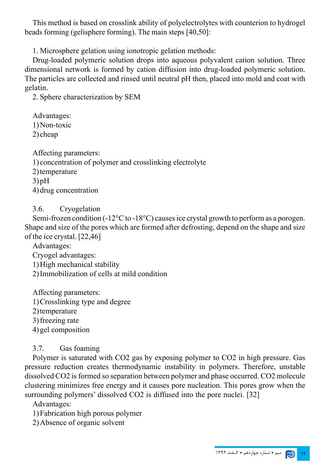This method is based on crosslink ability of polyelectrolytes with counterion to hydrogel beads forming (gelisphere forming). The main steps [40,50]:

1. Microsphere gelation using ionotropic gelation methods:

Drug-loaded polymeric solution drops into aqueous polyvalent cation solution. Three dimensional network is formed by cation diffusion into drug-loaded polymeric solution. The particles are collected and rinsed until neutral pH then, placed into mold and coat with gelatin.

2. Sphere characterization by SEM

Advantages: 1)Non-toxic 2) cheap

Affecting parameters:

1) concentration of polymer and crosslinking electrolyte

2)temperature

 $3$ ) pH

4)drug concentration

3.6. Cryogelation

Semi-frozen condition (-12°C to -18°C) causes ice crystal growth to perform as a porogen. Shape and size of the pores which are formed after defrosting, depend on the shape and size of the ice crystal. [22,46]

Advantages:

Cryogel advantages:

1)High mechanical stability

2)Immobilization of cells at mild condition

Affecting parameters: 1)Crosslinking type and degree

2) temperature

3)freezing rate

4)gel composition

## 3.7. Gas foaming

Polymer is saturated with CO2 gas by exposing polymer to CO2 in high pressure. Gas pressure reduction creates thermodynamic instability in polymers. Therefore, unstable dissolved CO2 is formed so separation between polymer and phase occurred. CO2 molecule clustering minimizes free energy and it causes pore nucleation. This pores grow when the surrounding polymers' dissolved CO2 is diffused into the pore nuclei. [32]

Advantages:

1)Fabrication high porous polymer

2)Absence of organic solvent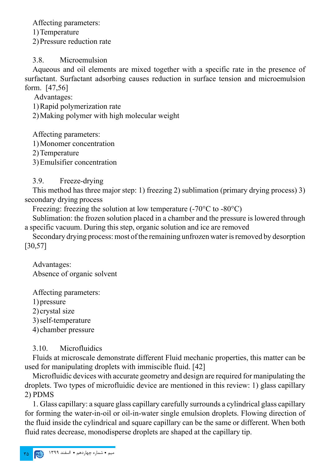Affecting parameters:

1)Temperature

2)Pressure reduction rate

3.8. Microemulsion

Aqueous and oil elements are mixed together with a specific rate in the presence of surfactant. Surfactant adsorbing causes reduction in surface tension and microemulsion form. [47,56]

Advantages:

1)Rapid polymerization rate

2)Making polymer with high molecular weight

Affecting parameters:

1)Monomer concentration

2)Temperature

3)Emulsifier concentration

3.9. Freeze-drying

This method has three major step: 1) freezing 2) sublimation (primary drying process) 3) secondary drying process

Freezing: freezing the solution at low temperature  $(-70^{\circ}C)$  to  $-80^{\circ}C$ )

Sublimation: the frozen solution placed in a chamber and the pressure is lowered through a specific vacuum. During this step, organic solution and ice are removed

Secondary drying process: most of the remaining unfrozen water is removed by desorption [30,57]

Advantages: Absence of organic solvent

Affecting parameters:

1)pressure

2) crystal size

3)self-temperature

4) chamber pressure

3.10. Microfluidics

Fluids at microscale demonstrate different Fluid mechanic properties, this matter can be used for manipulating droplets with immiscible fluid. [42]

Microfluidic devices with accurate geometry and design are required for manipulating the droplets. Two types of microfluidic device are mentioned in this review: 1) glass capillary 2) PDMS

1. Glass capillary: a square glass capillary carefully surrounds a cylindrical glass capillary for forming the water-in-oil or oil-in-water single emulsion droplets. Flowing direction of the fluid inside the cylindrical and square capillary can be the same or different. When both fluid rates decrease, monodisperse droplets are shaped at the capillary tip.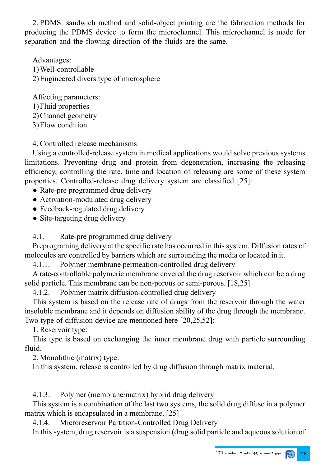2. PDMS: sandwich method and solid-object printing are the fabrication methods for producing the PDMS device to form the microchannel. This microchannel is made for separation and the flowing direction of the fluids are the same.

Advantages: 1)Well-controllable 2)Engineered divers type of microsphere

Affecting parameters: 1)Fluid properties

2)Channel geometry

3)Flow condition

4. Controlled release mechanisms

Using a controlled-release system in medical applications would solve previous systems limitations. Preventing drug and protein from degeneration, increasing the releasing efficiency, controlling the rate, time and location of releasing are some of these system properties. Controlled-release drug delivery system are classified [25]:

• Rate-pre programmed drug delivery

• Activation-modulated drug delivery

- Feedback-regulated drug delivery
- Site-targeting drug delivery

4.1. Rate-pre programmed drug delivery

Preprograming delivery at the specific rate has occurred in this system. Diffusion rates of molecules are controlled by barriers which are surrounding the media or located in it.

4.1.1. Polymer membrane permeation-controlled drug delivery

A rate-controllable polymeric membrane covered the drug reservoir which can be a drug solid particle. This membrane can be non-porous or semi-porous. [18,25]

4.1.2. Polymer matrix diffusion-controlled drug delivery

This system is based on the release rate of drugs from the reservoir through the water insoluble membrane and it depends on diffusion ability of the drug through the membrane. Two type of diffusion device are mentioned here [20,25,52]:

1. Reservoir type:

This type is based on exchanging the inner membrane drug with particle surrounding fluid.

2. Monolithic (matrix) type:

In this system, release is controlled by drug diffusion through matrix material.

4.1.3. Polymer (membrane/matrix) hybrid drug delivery

This system is a combination of the last two systems, the solid drug diffuse in a polymer matrix which is encapsulated in a membrane. [25]

4.1.4. Microreservoir Partition-Controlled Drug Delivery

In this system, drug reservoir is a suspension (drug solid particle and aqueous solution of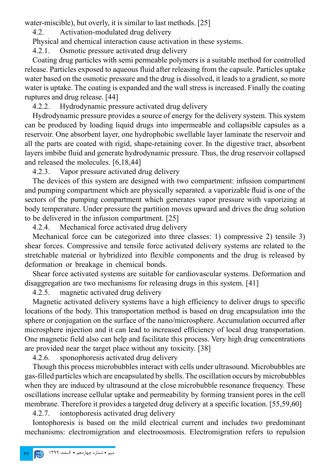water-miscible), but overly, it is similar to last methods. [25]

4.2. Activation-modulated drug delivery

Physical and chemical interaction cause activation in these systems.

4.2.1. Osmotic pressure activated drug delivery

Coating drug particles with semi permeable polymers is a suitable method for controlled release. Particles exposed to aqueous fluid after releasing from the capsule. Particles uptake water based on the osmotic pressure and the drug is dissolved, it leads to a gradient, so more water is uptake. The coating is expanded and the wall stress is increased. Finally the coating ruptures and drug release. [44]

4.2.2. Hydrodynamic pressure activated drug delivery

Hydrodynamic pressure provides a source of energy for the delivery system. This system can be produced by loading liquid drugs into impermeable and collapsible capsules as a reservoir. One absorbent layer, one hydrophobic swellable layer laminate the reservoir and all the parts are coated with rigid, shape-retaining cover. In the digestive tract, absorbent layers imbibe fluid and generate hydrodynamic pressure. Thus, the drug reservoir collapsed and released the molecules. [6,18,44]

4.2.3. Vapor pressure activated drug delivery

The devices of this system are designed with two compartment: infusion compartment and pumping compartment which are physically separated. a vaporizable fluid is one of the sectors of the pumping compartment which generates vapor pressure with vaporizing at body temperature. Under pressure the partition moves upward and drives the drug solution to be delivered in the infusion compartment. [25]

4.2.4. Mechanical force activated drug delivery

Mechanical force can be categorized into three classes: 1) compressive 2) tensile 3) shear forces. Compressive and tensile force activated delivery systems are related to the stretchable material or hybridized into flexible components and the drug is released by deformation or breakage in chemical bonds.

Shear force activated systems are suitable for cardiovascular systems. Deformation and disaggregation are two mechanisms for releasing drugs in this system. [41]

4.2.5. magnetic activated drug delivery

Magnetic activated delivery systems have a high efficiency to deliver drugs to specific locations of the body. This transportation method is based on drug encapsulation into the sphere or conjugation on the surface of the nano/microsphere. Accumulation occurred after microsphere injection and it can lead to increased efficiency of local drug transportation. One magnetic field also can help and facilitate this process. Very high drug concentrations are provided near the target place without any toxicity. [38]

4.2.6. sponophoresis activated drug delivery

Though this process microbubbles interact with cells under ultrasound. Microbubbles are gas-filled particles which are encapsulated by shells. The oscillation occurs by microbubbles when they are induced by ultrasound at the close microbubble resonance frequency. These oscillations increase cellular uptake and permeability by forming transient pores in the cell membrane. Therefore it provides a targeted drug delivery at a specific location. [55,59,60]

4.2.7. iontophoresis activated drug delivery

Iontophoresis is based on the mild electrical current and includes two predominant mechanisms: electromigration and electroosmosis. Electromigration refers to repulsion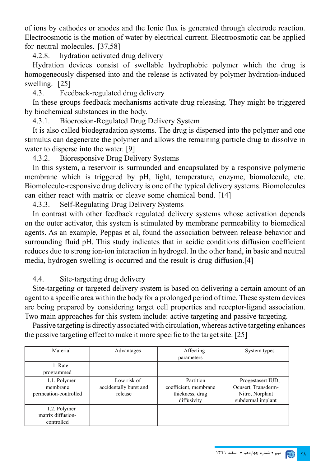of ions by cathodes or anodes and the Ionic flux is generated through electrode reaction. Electroosmotic is the motion of water by electrical current. Electroosmotic can be applied for neutral molecules. [37,58]

4.2.8. hydration activated drug delivery

Hydration devices consist of swellable hydrophobic polymer which the drug is homogeneously dispersed into and the release is activated by polymer hydration-induced swelling. [25]

4.3. Feedback-regulated drug delivery

In these groups feedback mechanisms activate drug releasing. They might be triggered by biochemical substances in the body.

4.3.1. Bioerosion-Regulated Drug Delivery System

It is also called biodegradation systems. The drug is dispersed into the polymer and one stimulus can degenerate the polymer and allows the remaining particle drug to dissolve in water to disperse into the water. [9]

4.3.2. Bioresponsive Drug Delivery Systems

In this system, a reservoir is surrounded and encapsulated by a responsive polymeric membrane which is triggered by pH, light, temperature, enzyme, biomolecule, etc. Biomolecule-responsive drug delivery is one of the typical delivery systems. Biomolecules can either react with matrix or cleave some chemical bond. [14]

4.3.3. Self-Regulating Drug Delivery Systems

In contrast with other feedback regulated delivery systems whose activation depends on the outer activator, this system is stimulated by membrane permeability to biomedical agents. As an example, Peppas et al, found the association between release behavior and surrounding fluid pH. This study indicates that in acidic conditions diffusion coefficient reduces duo to strong ion-ion interaction in hydrogel. In the other hand, in basic and neutral media, hydrogen swelling is occurred and the result is drug diffusion.[4]

4.4. Site-targeting drug delivery

Site-targeting or targeted delivery system is based on delivering a certain amount of an agent to a specific area within the body for a prolonged period of time. These system devices are being prepared by considering target cell properties and receptor-ligand association. Two main approaches for this system include: active targeting and passive targeting.

Passive targeting is directly associated with circulation, whereas active targeting enhances the passive targeting effect to make it more specific to the target site. [25]

| Material                                          | Advantages                                       | Affecting<br>parameters                                              | System types                                                                     |
|---------------------------------------------------|--------------------------------------------------|----------------------------------------------------------------------|----------------------------------------------------------------------------------|
| 1. Rate-<br>programmed                            |                                                  |                                                                      |                                                                                  |
| 1.1. Polymer<br>membrane<br>permeation-controlled | Low risk of<br>accidentally burst and<br>release | Partition<br>coefficient, membrane<br>thickness, drug<br>diffusivity | Progestasert IUD,<br>Ocusert, Transderm-<br>Nitro, Norplant<br>subdermal implant |
| 1.2. Polymer<br>matrix diffusion-<br>controlled   |                                                  |                                                                      |                                                                                  |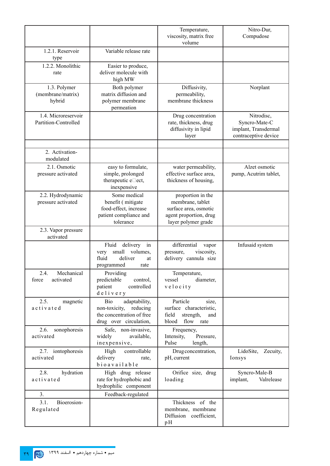|                                             |                                                                                                       | Temperature,<br>viscosity, matrix free<br>volume                                                                | Nitro-Dur,<br>Compudose                                                     |
|---------------------------------------------|-------------------------------------------------------------------------------------------------------|-----------------------------------------------------------------------------------------------------------------|-----------------------------------------------------------------------------|
| 1.2.1. Reservoir<br>type                    | Variable release rate                                                                                 |                                                                                                                 |                                                                             |
| 1.2.2. Monolithic<br>rate                   | Easier to produce,<br>deliver molecule with<br>high MW                                                |                                                                                                                 |                                                                             |
| 1.3. Polymer<br>(membrane/matrix)<br>hybrid | Both polymer<br>matrix diffusion and<br>polymer membrane<br>permeation                                | Diffusivity,<br>permeability,<br>membrane thickness                                                             | Norplant                                                                    |
| 1.4. Microreservoir<br>Partition-Controlled |                                                                                                       | Drug concentration<br>rate, thickness, drug<br>diffusivity in lipid<br>layer                                    | Nitrodisc,<br>Syncro-Mate-C<br>implant, Transdermal<br>contraceptive device |
| 2. Activation-<br>modulated                 |                                                                                                       |                                                                                                                 |                                                                             |
| 2.1. Osmotic<br>pressure activated          | easy to formulate,<br>simple, prolonged<br>therapeutic e□ect,<br>inexpensive                          | water permeability,<br>effective surface area,<br>thickness of housing,                                         | Alzet osmotic<br>pump, Acutrim tablet,                                      |
| 2.2. Hydrodynamic<br>pressure activated     | Some medical<br>benefit (mitigate<br>food-effect, increase<br>patient compliance and<br>tolerance     | proportion in the<br>membrane, tablet<br>surface area, osmotic<br>agent proportion, drug<br>layer polymer grade |                                                                             |
| 2.3. Vapor pressure<br>activated            |                                                                                                       |                                                                                                                 |                                                                             |
|                                             | Fluid<br>delivery<br>in<br>small<br>volumes,<br>very<br>fluid<br>deliver<br>at<br>programmed<br>rate  | differential<br>vapor<br>viscosity,<br>pressure,<br>delivery cannula size                                       | Infusaid system                                                             |
| Mechanical<br>2.4.<br>activated<br>force    | Providing<br>predictable<br>control.<br>patient<br>controlled<br>delivery                             | Temperature,<br>diameter,<br>vessel<br>velocity                                                                 |                                                                             |
| 2.5.<br>magnetic<br>activated               | Bio<br>adaptability,<br>non-toxicity, reducing<br>the concentration of free<br>drug over circulation, | Particle<br>size,<br>surface characteristic,<br>field<br>strength,<br>and<br>blood<br>flow rate                 |                                                                             |
| 2.6.<br>sonophoresis<br>activated           | Safe, non-invasive,<br>widely<br>available,<br>inexpensive,                                           | Frequency,<br>Intensity,<br>Pressure,<br>Pulse<br>length,                                                       |                                                                             |
| 2.7. iontophoresis<br>activated             | controllable<br>High<br>delivery<br>rate,<br>bioavailable                                             | Drug concentration,<br>pH, current                                                                              | LidoSite,<br>Zecuity,<br>Ionsys                                             |
| 2.8.<br>hydration<br>activated              | High drug release<br>rate for hydrophobic and<br>hydrophilic component                                | Orifice size, drug<br>loading                                                                                   | Syncro-Male-B<br>Valrelease<br>implant,                                     |
| 3.                                          | Feedback-regulated                                                                                    |                                                                                                                 |                                                                             |
| Bioerosion-<br>3.1.<br>Regulated            |                                                                                                       | Thickness of the<br>membrane, membrane<br>Diffusion coefficient,<br>pH                                          |                                                                             |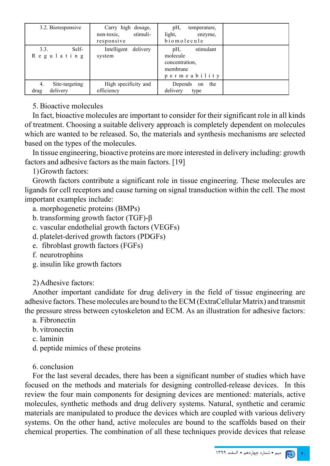| 3.2. Bioresponsive                       | Carry high dosage,<br>stimuli-<br>non-toxic.<br>responsive | pH,<br>temperature,<br>light,<br>enzyme,<br>biomolecule                    |  |
|------------------------------------------|------------------------------------------------------------|----------------------------------------------------------------------------|--|
| 3.3.<br>Self-<br>Regulating              | Intelligent delivery<br>system                             | stimulant<br>pH,<br>molecule<br>concentration.<br>membrane<br>permeability |  |
| Site-targeting<br>4.<br>delivery<br>drug | High specificity and<br>efficiency                         | Depends<br>the<br>on<br>delivery<br>type                                   |  |

#### 5. Bioactive molecules

In fact, bioactive molecules are important to consider for their significant role in all kinds of treatment. Choosing a suitable delivery approach is completely dependent on molecules which are wanted to be released. So, the materials and synthesis mechanisms are selected based on the types of the molecules.

In tissue engineering, bioactive proteins are more interested in delivery including: growth factors and adhesive factors as the main factors. [19]

1)Growth factors:

Growth factors contribute a significant role in tissue engineering. These molecules are ligands for cell receptors and cause turning on signal transduction within the cell. The most important examples include:

- a. morphogenetic proteins (BMPs)
- b. transforming growth factor (TGF)-β
- c. vascular endothelial growth factors (VEGFs)
- d. platelet-derived growth factors (PDGFs)
- e. fibroblast growth factors (FGFs)
- f. neurotrophins
- g. insulin like growth factors

2)Adhesive factors:

Another important candidate for drug delivery in the field of tissue engineering are adhesive factors. These molecules are bound to the ECM (ExtraCellular Matrix) and transmit the pressure stress between cytoskeleton and ECM. As an illustration for adhesive factors:

- a. Fibronectin
- b. vitronectin
- c. laminin
- d. peptide mimics of these proteins
- 6. conclusion

For the last several decades, there has been a significant number of studies which have focused on the methods and materials for designing controlled-release devices. In this review the four main components for designing devices are mentioned: materials, active molecules, synthetic methods and drug delivery systems. Natural, synthetic and ceramic materials are manipulated to produce the devices which are coupled with various delivery systems. On the other hand, active molecules are bound to the scaffolds based on their chemical properties. The combination of all these techniques provide devices that release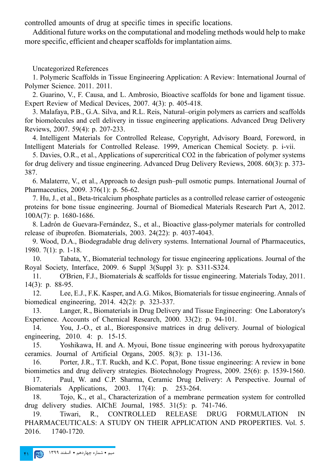controlled amounts of drug at specific times in specific locations.

Additional future works on the computational and modeling methods would help to make more specific, efficient and cheaper scaffolds for implantation aims.

Uncategorized References

1. Polymeric Scaffolds in Tissue Engineering Application: A Review: International Journal of Polymer Science. 2011. 2011.

2. Guarino, V., F. Causa, and L. Ambrosio, Bioactive scaffolds for bone and ligament tissue. Expert Review of Medical Devices, 2007. 4(3): p. 405-418.

3. Malafaya, P.B., G.A. Silva, and R.L. Reis, Natural–origin polymers as carriers and scaffolds for biomolecules and cell delivery in tissue engineering applications. Advanced Drug Delivery Reviews, 2007. 59(4): p. 207-233.

4. Intelligent Materials for Controlled Release, Copyright, Advisory Board, Foreword, in Intelligent Materials for Controlled Release. 1999, American Chemical Society. p. i-vii.

5. Davies, O.R., et al., Applications of supercritical CO2 in the fabrication of polymer systems for drug delivery and tissue engineering. Advanced Drug Delivery Reviews, 2008. 60(3): p. 373- 387.

6. Malaterre, V., et al., Approach to design push–pull osmotic pumps. International Journal of Pharmaceutics, 2009. 376(1): p. 56-62.

7. Hu, J., et al., Beta-tricalcium phosphate particles as a controlled release carrier of osteogenic proteins for bone tissue engineering. Journal of Biomedical Materials Research Part A, 2012. 100A(7): p. 1680-1686.

8. Ladrón de Guevara-Fernández, S., et al., Bioactive glass-polymer materials for controlled release of ibuprofen. Biomaterials, 2003. 24(22): p. 4037-4043.

9. Wood, D.A., Biodegradable drug delivery systems. International Journal of Pharmaceutics, 1980. 7(1): p. 1-18.

10. Tabata, Y., Biomaterial technology for tissue engineering applications. Journal of the Royal Society, Interface, 2009. 6 Suppl 3(Suppl 3): p. S311-S324.

11. O'Brien, F.J., Biomaterials & scaffolds for tissue engineering. Materials Today, 2011. 14(3): p. 88-95.

12. Lee, E.J., F.K. Kasper, and A.G. Mikos, Biomaterials for tissue engineering. Annals of biomedical engineering, 2014. 42(2): p. 323-337.

13. Langer, R., Biomaterials in Drug Delivery and Tissue Engineering:  One Laboratory's Experience. Accounts of Chemical Research, 2000. 33(2): p. 94-101.

14. You, J.-O., et al., Bioresponsive matrices in drug delivery. Journal of biological engineering, 2010. 4: p. 15-15.

15. Yoshikawa, H. and A. Myoui, Bone tissue engineering with porous hydroxyapatite ceramics. Journal of Artificial Organs, 2005. 8(3): p. 131-136.

16. Porter, J.R., T.T. Ruckh, and K.C. Popat, Bone tissue engineering: A review in bone biomimetics and drug delivery strategies. Biotechnology Progress, 2009. 25(6): p. 1539-1560.

17. Paul, W. and C.P. Sharma, Ceramic Drug Delivery: A Perspective. Journal of Biomaterials Applications, 2003. 17(4): p. 253-264.

18. Tojo, K., et al., Characterization of a membrane permeation system for controlled drug delivery studies. AIChE Journal, 1985. 31(5): p. 741-746.

19. Tiwari, R., CONTROLLED RELEASE DRUG FORMULATION IN PHARMACEUTICALS: A STUDY ON THEIR APPLICATION AND PROPERTIES. Vol. 5. 2016. 1740-1720.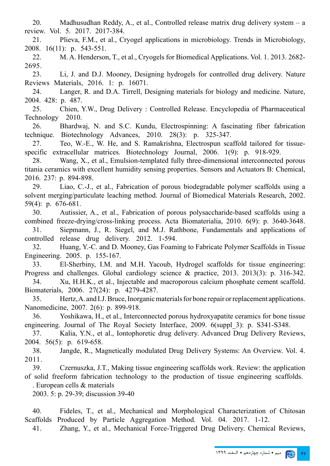20. Madhusudhan Reddy, A., et al., Controlled release matrix drug delivery system – a review. Vol. 5. 2017. 2017-384.

21. Plieva, F.M., et al., Cryogel applications in microbiology. Trends in Microbiology, 2008. 16(11): p. 543-551.

22. M. A. Henderson, T., et al., Cryogels for Biomedical Applications. Vol. 1. 2013. 2682- 2695.

23. Li, J. and D.J. Mooney, Designing hydrogels for controlled drug delivery. Nature Reviews Materials, 2016. 1: p. 16071.

24. Langer, R. and D.A. Tirrell, Designing materials for biology and medicine. Nature, 2004. 428: p. 487.

25. Chien, Y.W., Drug Delivery : Controlled Release. Encyclopedia of Pharmaceutical Technology 2010.

26. Bhardwaj, N. and S.C. Kundu, Electrospinning: A fascinating fiber fabrication technique. Biotechnology Advances, 2010. 28(3): p. 325-347.

27. Teo, W.-E., W. He, and S. Ramakrishna, Electrospun scaffold tailored for tissuespecific extracellular matrices. Biotechnology Journal, 2006. 1(9): p. 918-929.

28. Wang, X., et al., Emulsion-templated fully three-dimensional interconnected porous titania ceramics with excellent humidity sensing properties. Sensors and Actuators B: Chemical, 2016. 237: p. 894-898.

29. Liao, C.-J., et al., Fabrication of porous biodegradable polymer scaffolds using a solvent merging/particulate leaching method. Journal of Biomedical Materials Research, 2002. 59(4): p. 676-681.

30. Autissier, A., et al., Fabrication of porous polysaccharide-based scaffolds using a combined freeze-drying/cross-linking process. Acta Biomaterialia, 2010. 6(9): p. 3640-3648. 31. Siepmann, J., R. Siegel, and M.J. Rathbone, Fundamentals and applications of

controlled release drug delivery. 2012. 1-594.

32. Huang, Y.-C. and D. Mooney, Gas Foaming to Fabricate Polymer Scaffolds in Tissue Engineering. 2005. p. 155-167.

33. El-Sherbiny, I.M. and M.H. Yacoub, Hydrogel scaffolds for tissue engineering: Progress and challenges. Global cardiology science & practice, 2013. 2013(3): p. 316-342.

34. Xu, H.H.K., et al., Injectable and macroporous calcium phosphate cement scaffold. Biomaterials, 2006. 27(24): p. 4279-4287.

35. Hertz, A. and I.J. Bruce, Inorganic materials for bone repair or replacement applications. Nanomedicine, 2007. 2(6): p. 899-918.

36. Yoshikawa, H., et al., Interconnected porous hydroxyapatite ceramics for bone tissue engineering. Journal of The Royal Society Interface, 2009. 6(suppl\_3): p. S341-S348.

37. Kalia, Y.N., et al., Iontophoretic drug delivery. Advanced Drug Delivery Reviews, 2004. 56(5): p. 619-658.

38. Jangde, R., Magnetically modulated Drug Delivery Systems: An Overview. Vol. 4. 2011.

39. Czernuszka, J.T., Making tissue engineering scaffolds work. Review: the application of solid freeform fabrication technology to the production of tissue engineering scaffolds.

. European cells & materials

2003. 5: p. 29-39; discussion 39-40

40. Fideles, T., et al., Mechanical and Morphological Characterization of Chitosan Scaffolds Produced by Particle Aggregation Method. Vol. 04. 2017. 1-12.

41. Zhang, Y., et al., Mechanical Force-Triggered Drug Delivery. Chemical Reviews,